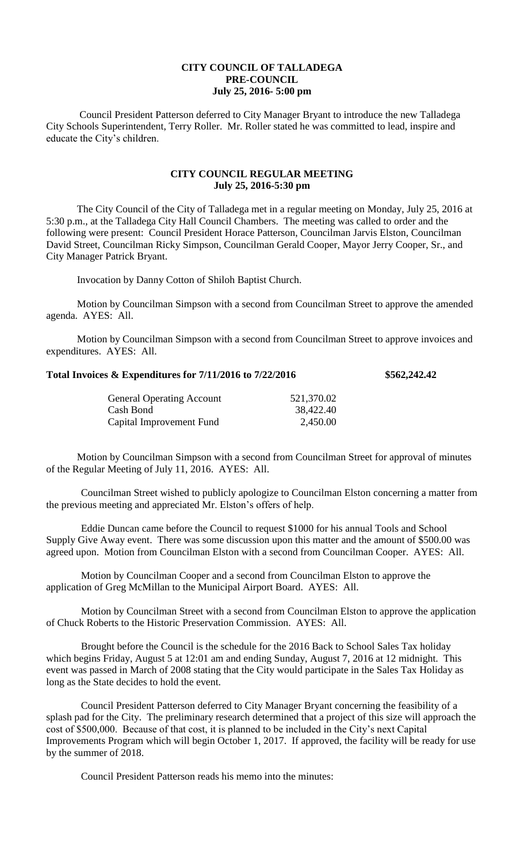## **CITY COUNCIL OF TALLADEGA PRE-COUNCIL July 25, 2016- 5:00 pm**

Council President Patterson deferred to City Manager Bryant to introduce the new Talladega City Schools Superintendent, Terry Roller. Mr. Roller stated he was committed to lead, inspire and educate the City's children.

## **CITY COUNCIL REGULAR MEETING July 25, 2016-5:30 pm**

The City Council of the City of Talladega met in a regular meeting on Monday, July 25, 2016 at 5:30 p.m., at the Talladega City Hall Council Chambers. The meeting was called to order and the following were present: Council President Horace Patterson, Councilman Jarvis Elston, Councilman David Street, Councilman Ricky Simpson, Councilman Gerald Cooper, Mayor Jerry Cooper, Sr., and City Manager Patrick Bryant.

Invocation by Danny Cotton of Shiloh Baptist Church.

Motion by Councilman Simpson with a second from Councilman Street to approve the amended agenda. AYES: All.

Motion by Councilman Simpson with a second from Councilman Street to approve invoices and expenditures. AYES: All.

## **Total Invoices & Expenditures for 7/11/2016 to 7/22/2016 \$562,242.42**

| <b>General Operating Account</b> | 521,370.02 |
|----------------------------------|------------|
| Cash Bond                        | 38,422.40  |
| Capital Improvement Fund         | 2,450.00   |

Motion by Councilman Simpson with a second from Councilman Street for approval of minutes of the Regular Meeting of July 11, 2016. AYES: All.

Councilman Street wished to publicly apologize to Councilman Elston concerning a matter from the previous meeting and appreciated Mr. Elston's offers of help.

Eddie Duncan came before the Council to request \$1000 for his annual Tools and School Supply Give Away event. There was some discussion upon this matter and the amount of \$500.00 was agreed upon. Motion from Councilman Elston with a second from Councilman Cooper. AYES: All.

Motion by Councilman Cooper and a second from Councilman Elston to approve the application of Greg McMillan to the Municipal Airport Board. AYES: All.

Motion by Councilman Street with a second from Councilman Elston to approve the application of Chuck Roberts to the Historic Preservation Commission. AYES: All.

Brought before the Council is the schedule for the 2016 Back to School Sales Tax holiday which begins Friday, August 5 at 12:01 am and ending Sunday, August 7, 2016 at 12 midnight. This event was passed in March of 2008 stating that the City would participate in the Sales Tax Holiday as long as the State decides to hold the event.

Council President Patterson deferred to City Manager Bryant concerning the feasibility of a splash pad for the City. The preliminary research determined that a project of this size will approach the cost of \$500,000. Because of that cost, it is planned to be included in the City's next Capital Improvements Program which will begin October 1, 2017. If approved, the facility will be ready for use by the summer of 2018.

Council President Patterson reads his memo into the minutes: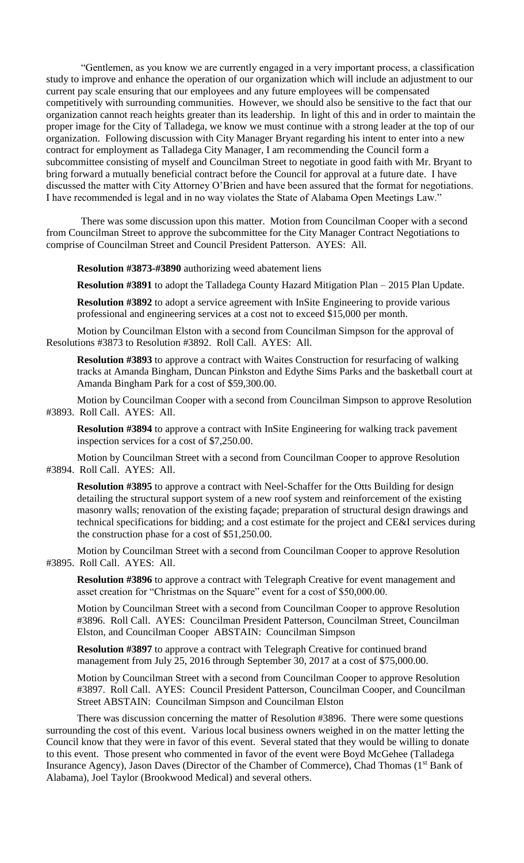"Gentlemen, as you know we are currently engaged in a very important process, a classification study to improve and enhance the operation of our organization which will include an adjustment to our current pay scale ensuring that our employees and any future employees will be compensated competitively with surrounding communities. However, we should also be sensitive to the fact that our organization cannot reach heights greater than its leadership. In light of this and in order to maintain the proper image for the City of Talladega, we know we must continue with a strong leader at the top of our organization. Following discussion with City Manager Bryant regarding his intent to enter into a new contract for employment as Talladega City Manager, I am recommending the Council form a subcommittee consisting of myself and Councilman Street to negotiate in good faith with Mr. Bryant to bring forward a mutually beneficial contract before the Council for approval at a future date. I have discussed the matter with City Attorney O'Brien and have been assured that the format for negotiations. I have recommended is legal and in no way violates the State of Alabama Open Meetings Law."

There was some discussion upon this matter. Motion from Councilman Cooper with a second from Councilman Street to approve the subcommittee for the City Manager Contract Negotiations to comprise of Councilman Street and Council President Patterson. AYES: All.

**Resolution #3873-#3890** authorizing weed abatement liens

**Resolution #3891** to adopt the Talladega County Hazard Mitigation Plan – 2015 Plan Update.

**Resolution #3892** to adopt a service agreement with InSite Engineering to provide various professional and engineering services at a cost not to exceed \$15,000 per month.

Motion by Councilman Elston with a second from Councilman Simpson for the approval of Resolutions #3873 to Resolution #3892. Roll Call. AYES: All.

**Resolution #3893** to approve a contract with Waites Construction for resurfacing of walking tracks at Amanda Bingham, Duncan Pinkston and Edythe Sims Parks and the basketball court at Amanda Bingham Park for a cost of \$59,300.00.

Motion by Councilman Cooper with a second from Councilman Simpson to approve Resolution #3893. Roll Call. AYES: All.

**Resolution #3894** to approve a contract with InSite Engineering for walking track pavement inspection services for a cost of \$7,250.00.

Motion by Councilman Street with a second from Councilman Cooper to approve Resolution #3894. Roll Call. AYES: All.

**Resolution #3895** to approve a contract with Neel-Schaffer for the Otts Building for design detailing the structural support system of a new roof system and reinforcement of the existing masonry walls; renovation of the existing façade; preparation of structural design drawings and technical specifications for bidding; and a cost estimate for the project and CE&I services during the construction phase for a cost of \$51,250.00.

Motion by Councilman Street with a second from Councilman Cooper to approve Resolution #3895. Roll Call. AYES: All.

**Resolution #3896** to approve a contract with Telegraph Creative for event management and asset creation for "Christmas on the Square" event for a cost of \$50,000.00.

Motion by Councilman Street with a second from Councilman Cooper to approve Resolution #3896. Roll Call. AYES: Councilman President Patterson, Councilman Street, Councilman Elston, and Councilman Cooper ABSTAIN: Councilman Simpson

**Resolution #3897** to approve a contract with Telegraph Creative for continued brand management from July 25, 2016 through September 30, 2017 at a cost of \$75,000.00.

Motion by Councilman Street with a second from Councilman Cooper to approve Resolution #3897. Roll Call. AYES: Council President Patterson, Councilman Cooper, and Councilman Street ABSTAIN: Councilman Simpson and Councilman Elston

There was discussion concerning the matter of Resolution #3896. There were some questions surrounding the cost of this event. Various local business owners weighed in on the matter letting the Council know that they were in favor of this event. Several stated that they would be willing to donate to this event. Those present who commented in favor of the event were Boyd McGehee (Talladega Insurance Agency), Jason Daves (Director of the Chamber of Commerce), Chad Thomas (1<sup>st</sup> Bank of Alabama), Joel Taylor (Brookwood Medical) and several others.